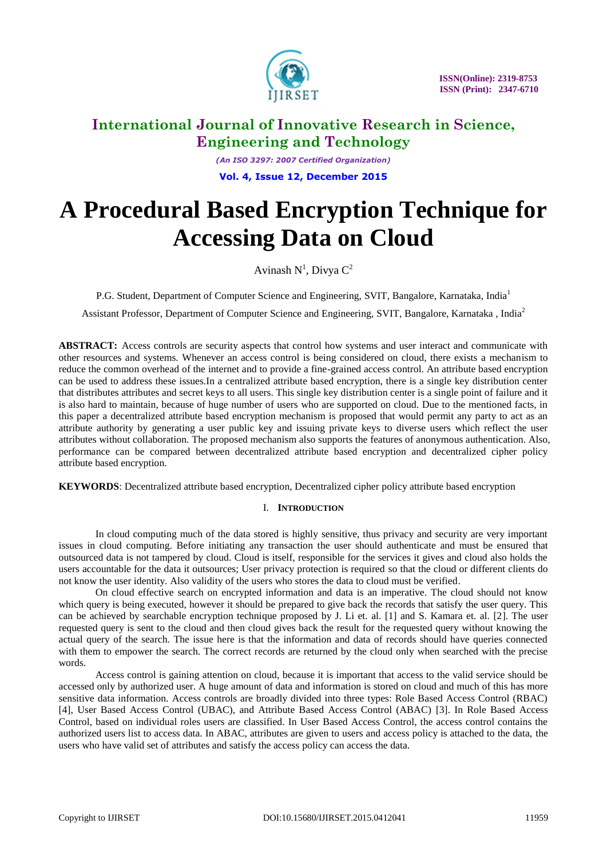

 **ISSN(Online): 2319-8753 ISSN (Print): 2347-6710** 

### **International Journal of Innovative Research in Science, Engineering and Technology**

*(An ISO 3297: 2007 Certified Organization)* **Vol. 4, Issue 12, December 2015**

# **A Procedural Based Encryption Technique for Accessing Data on Cloud**

Avinash  $N^1$ , Divya  $C^2$ 

P.G. Student, Department of Computer Science and Engineering, SVIT, Bangalore, Karnataka, India<sup>1</sup>

Assistant Professor, Department of Computer Science and Engineering, SVIT, Bangalore, Karnataka , India<sup>2</sup>

**ABSTRACT:** Access controls are security aspects that control how systems and user interact and communicate with other resources and systems. Whenever an access control is being considered on cloud, there exists a mechanism to reduce the common overhead of the internet and to provide a fine-grained access control. An attribute based encryption can be used to address these issues.In a centralized attribute based encryption, there is a single key distribution center that distributes attributes and secret keys to all users. This single key distribution center is a single point of failure and it is also hard to maintain, because of huge number of users who are supported on cloud. Due to the mentioned facts, in this paper a decentralized attribute based encryption mechanism is proposed that would permit any party to act as an attribute authority by generating a user public key and issuing private keys to diverse users which reflect the user attributes without collaboration. The proposed mechanism also supports the features of anonymous authentication. Also, performance can be compared between decentralized attribute based encryption and decentralized cipher policy attribute based encryption.

**KEYWORDS**: Decentralized attribute based encryption, Decentralized cipher policy attribute based encryption

### I. **INTRODUCTION**

In cloud computing much of the data stored is highly sensitive, thus privacy and security are very important issues in cloud computing. Before initiating any transaction the user should authenticate and must be ensured that outsourced data is not tampered by cloud. Cloud is itself, responsible for the services it gives and cloud also holds the users accountable for the data it outsources; User privacy protection is required so that the cloud or different clients do not know the user identity. Also validity of the users who stores the data to cloud must be verified.

On cloud effective search on encrypted information and data is an imperative. The cloud should not know which query is being executed, however it should be prepared to give back the records that satisfy the user query. This can be achieved by searchable encryption technique proposed by J. Li et. al. [1] and S. Kamara et. al. [2]. The user requested query is sent to the cloud and then cloud gives back the result for the requested query without knowing the actual query of the search. The issue here is that the information and data of records should have queries connected with them to empower the search. The correct records are returned by the cloud only when searched with the precise words.

Access control is gaining attention on cloud, because it is important that access to the valid service should be accessed only by authorized user. A huge amount of data and information is stored on cloud and much of this has more sensitive data information. Access controls are broadly divided into three types: Role Based Access Control (RBAC) [4], User Based Access Control (UBAC), and Attribute Based Access Control (ABAC) [3]. In Role Based Access Control, based on individual roles users are classified. In User Based Access Control, the access control contains the authorized users list to access data. In ABAC, attributes are given to users and access policy is attached to the data, the users who have valid set of attributes and satisfy the access policy can access the data.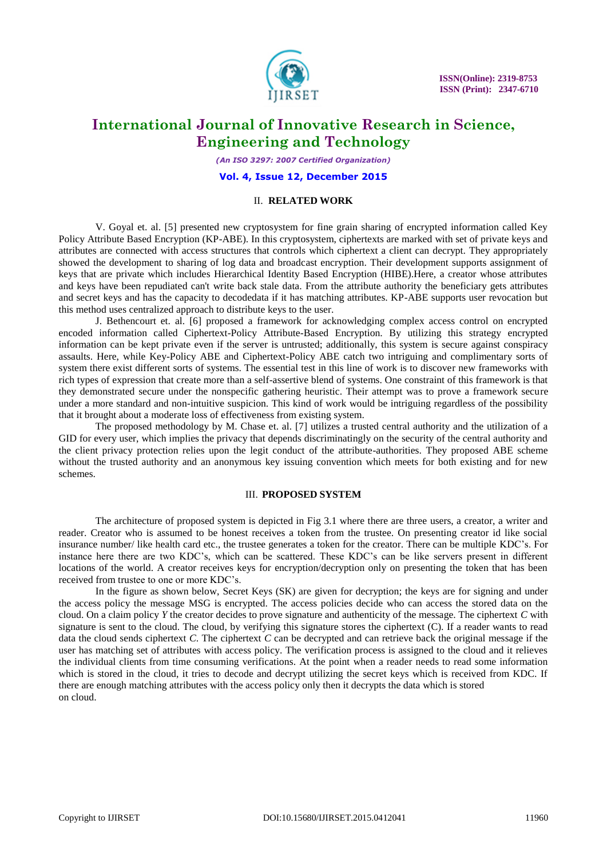

*(An ISO 3297: 2007 Certified Organization)*

**Vol. 4, Issue 12, December 2015**

#### II. **RELATED WORK**

V. Goyal et. al. [5] presented new cryptosystem for fine grain sharing of encrypted information called Key Policy Attribute Based Encryption (KP-ABE). In this cryptosystem, ciphertexts are marked with set of private keys and attributes are connected with access structures that controls which ciphertext a client can decrypt. They appropriately showed the development to sharing of log data and broadcast encryption. Their development supports assignment of keys that are private which includes Hierarchical Identity Based Encryption (HIBE).Here, a creator whose attributes and keys have been repudiated can't write back stale data. From the attribute authority the beneficiary gets attributes and secret keys and has the capacity to decodedata if it has matching attributes. KP-ABE supports user revocation but this method uses centralized approach to distribute keys to the user.

J. Bethencourt et. al. [6] proposed a framework for acknowledging complex access control on encrypted encoded information called Ciphertext-Policy Attribute-Based Encryption. By utilizing this strategy encrypted information can be kept private even if the server is untrusted; additionally, this system is secure against conspiracy assaults. Here, while Key-Policy ABE and Ciphertext-Policy ABE catch two intriguing and complimentary sorts of system there exist different sorts of systems. The essential test in this line of work is to discover new frameworks with rich types of expression that create more than a self-assertive blend of systems. One constraint of this framework is that they demonstrated secure under the nonspecific gathering heuristic. Their attempt was to prove a framework secure under a more standard and non-intuitive suspicion. This kind of work would be intriguing regardless of the possibility that it brought about a moderate loss of effectiveness from existing system.

The proposed methodology by M. Chase et. al. [7] utilizes a trusted central authority and the utilization of a GID for every user, which implies the privacy that depends discriminatingly on the security of the central authority and the client privacy protection relies upon the legit conduct of the attribute-authorities. They proposed ABE scheme without the trusted authority and an anonymous key issuing convention which meets for both existing and for new schemes.

#### III. **PROPOSED SYSTEM**

The architecture of proposed system is depicted in Fig 3.1 where there are three users, a creator, a writer and reader. Creator who is assumed to be honest receives a token from the trustee. On presenting creator id like social insurance number/ like health card etc., the trustee generates a token for the creator. There can be multiple KDC's. For instance here there are two KDC's, which can be scattered. These KDC's can be like servers present in different locations of the world. A creator receives keys for encryption/decryption only on presenting the token that has been received from trustee to one or more KDC's.

In the figure as shown below, Secret Keys (SK) are given for decryption; the keys are for signing and under the access policy the message MSG is encrypted. The access policies decide who can access the stored data on the cloud. On a claim policy *Y* the creator decides to prove signature and authenticity of the message. The ciphertext *C* with signature is sent to the cloud. The cloud, by verifying this signature stores the ciphertext (C). If a reader wants to read data the cloud sends ciphertext *C*. The ciphertext *C* can be decrypted and can retrieve back the original message if the user has matching set of attributes with access policy. The verification process is assigned to the cloud and it relieves the individual clients from time consuming verifications. At the point when a reader needs to read some information which is stored in the cloud, it tries to decode and decrypt utilizing the secret keys which is received from KDC. If there are enough matching attributes with the access policy only then it decrypts the data which is stored on cloud.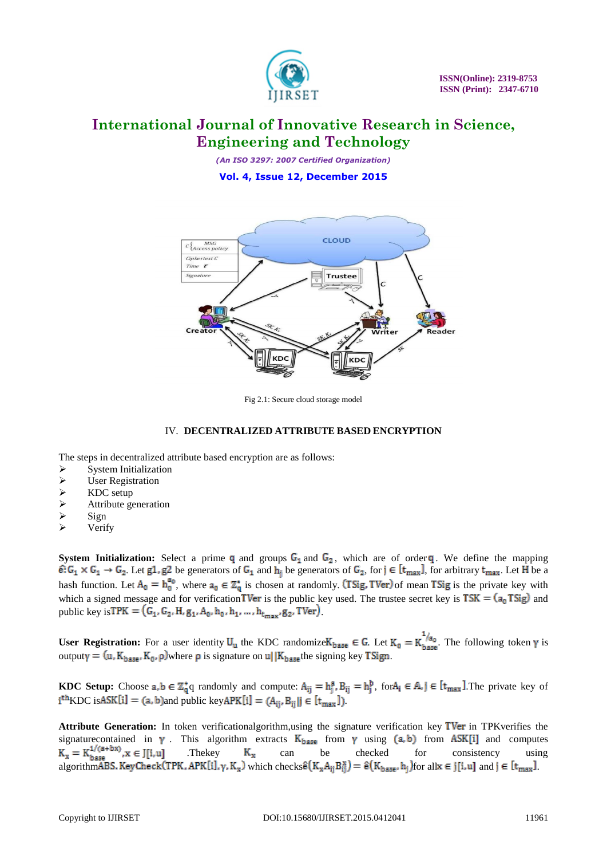

*(An ISO 3297: 2007 Certified Organization)*

**Vol. 4, Issue 12, December 2015**



Fig 2.1: Secure cloud storage model

### IV. **DECENTRALIZED ATTRIBUTE BASED ENCRYPTION**

The steps in decentralized attribute based encryption are as follows:

- System Initialization
- User Registration
- 
- $\triangleright$  KDC setup<br> $\triangleright$  Attribute ge Attribute generation
- $\triangleright$  Sign
- $\triangleright$  Verify

**System Initialization:** Select a prime  $q$  and groups  $G_1$  and  $G_2$ , which are of order  $q$ . We define the mapping  $\hat{\epsilon}: G_1 \times G_1 \to G_2$ . Let  $g1, g2$  be generators of  $G_1$  and  $h_i$  be generators of  $G_2$ , for  $j \in [t_{max}]$ , for arbitrary  $t_{max}$ . Let H be a hash function. Let  $A_0 = h_0^{a_0}$ , where  $a_0 \in \mathbb{Z}_0^*$  is chosen at randomly. (Tsig, TVer) of mean Tsig is the private key with which a signed message and for verification **TVer** is the public key used. The trustee secret key is  $TSK = (a_0 TSg)$  and public key is TPK =  $(G_1, G_2, H, g_1, A_0, h_0, h_1, ..., h_{t_{max}}, g_2, TVer)$ .

**User Registration:** For a user identity  $U_u$  the KDC randomize  $K_{base} \in G$ . Let  $K_0 = K_{base}^{1/a_0}$ . The following token  $\gamma$  is outputy =  $(u, K_{base}, K_0, \rho)$  where  $\rho$  is signature on  $u||K_{base}$  the signing key TSign.

**KDC Setup:** Choose  $a, b \in \mathbb{Z}_q^* q$  randomly and compute:  $A_{ij} = h_j^a$ ,  $B_{ij} = h_j^b$ , for  $A_i \in \mathbb{A}$ ,  $j \in [t_{max}]$ . The private key of  $i^{th}$ KDC is ASK $[i] = (a, b)$  and public key APK $[i] = (A_{ii}, B_{ii} | j \in [t_{max}])$ .

Attribute Generation: In token verificationalgorithm,using the signature verification key TVer in TPKverifies the signature contained in  $\gamma$ . This algorithm extracts  $K_{base}$  from  $\gamma$  using  $(a, b)$  from ASK[i] and computes  $K_x = K_{base}^{1/(a+bx)}$ ,  $x \in J[i, u]$ . The key  $K_x$  can be checked for consistency using the distribution of the construct .Thekey  $K_x$  can be checked for consistency using algorithm ABS. Key Check (TPK, APK [i],  $\gamma$ , K<sub>x</sub>) which checks  $\hat{e}(K_xA_{ii}B_{ii}^x) = \hat{e}(K_{base},h_i)$  for all  $x \in j[i,u]$  and  $j \in [t_{max}]$ .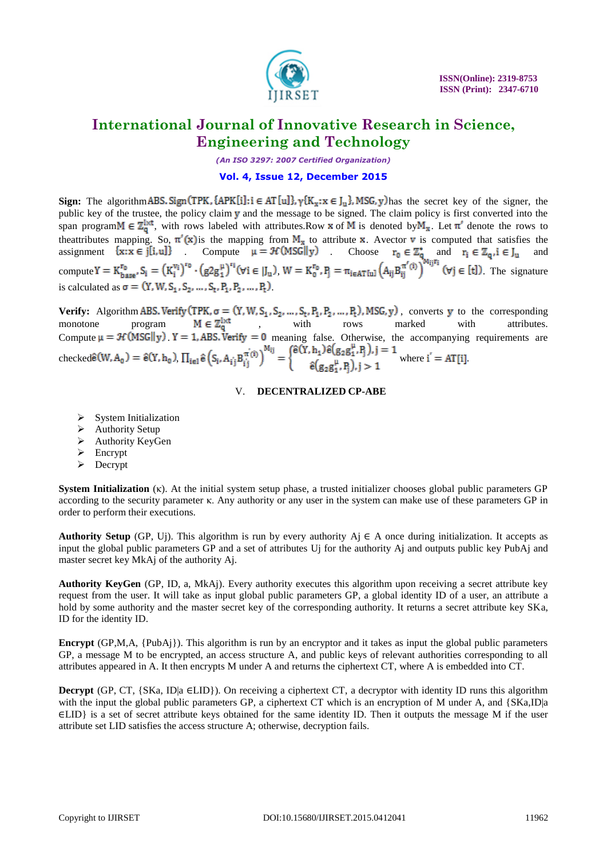

*(An ISO 3297: 2007 Certified Organization)*

#### **Vol. 4, Issue 12, December 2015**

**Sign:** The algorithm ABS. Sign (TPK,  $\{APK[i]: i \in AT[u]\}$ ,  $\{K_x: x \in J_u\}$ , MSG, y) has the secret key of the signer, the public key of the trustee, the policy claim y and the message to be signed. The claim policy is first converted into the span program  $M \in \mathbb{Z}_q^{\downarrow \times t}$ , with rows labeled with attributes.Row **x** of M is denoted by  $M_x$ . Let  $\pi'$  denote the rows to theattributes mapping. So,  $\pi'(\mathbf{x})$  is the mapping from  $\mathbf{M}_{\mathbf{x}}$  to attribute **x**. Avector **v** is computed that satisfies the assignment  $\{x : x \in j[i, u]\}$  Compute  $\mu = \mathcal{H}(MSGI|y)$ . Choose  $r_0 \in \mathbb{Z}_0^*$  and  $r_i \in \mathbb{Z}_0, i \in J_u$  and compute  $Y = K_{\text{base}}^{\text{to}}$ ,  $S_i = (K_i^{\text{to}})^{\text{to}}$ ,  $(g2g_i^{\text{to}})^{\text{to}}$  ( $\forall i \in [J_u)$ ,  $W = K_0^{\text{to}}$ ,  $P_i = \pi_{i \in AT[u]} (A_{ij}B_{ii}^{\text{to}})^{\text{to}}$  ( $\forall j \in [t]$ ). The signature is calculated as  $\sigma = (Y, W, S_1, S_2, ..., S_t, P_1, P_2, ..., P_t)$ .

**Verify:** Algorithm ABS. Verify (TPK,  $\sigma = (Y, W, S_1, S_2, ..., S_t, P_1, P_2, ..., P_t)$ ), MSG, y), converts y to the corresponding monotone program  $M \in \mathbb{Z}_p^{1xt}$ , with rows marked with attributes. Compute  $\mu = \mathcal{H}(MSG||y)$  Y = 1, ABS. Verify = 0 meaning false. Otherwise, the accompanying requirements are checked  $\hat{\mathbf{e}}(\mathbf{W}, \mathbf{A_0}) = \hat{\mathbf{e}}(\mathbf{Y}, \mathbf{h_0})$ ,  $\prod_{i \in I} \hat{\mathbf{e}}(S_i, A_i; \mathbf{B}_{i,i}^{m(i)}) = \{$   $\mathbf{w}(\mathbf{X} \mid \mathbf{B}_{i,i})$  where  $\mathbf{f} = \mathbf{A}\mathbf{T}[\mathbf{i}]$ 

### V. **DECENTRALIZED CP-ABE**

- System Initialization
- Authority Setup
- $\triangleright$  Authority KeyGen
- $\triangleright$  Encrypt
- $\triangleright$  Decrypt

**System Initialization** (κ). At the initial system setup phase, a trusted initializer chooses global public parameters GP according to the security parameter κ. Any authority or any user in the system can make use of these parameters GP in order to perform their executions.

**Authority Setup** (GP, Uj). This algorithm is run by every authority Aj  $\in$  A once during initialization. It accepts as input the global public parameters GP and a set of attributes Uj for the authority Aj and outputs public key PubAj and master secret key MkAj of the authority Aj.

**Authority KeyGen** (GP, ID, a, MkAj). Every authority executes this algorithm upon receiving a secret attribute key request from the user. It will take as input global public parameters GP, a global identity ID of a user, an attribute a hold by some authority and the master secret key of the corresponding authority. It returns a secret attribute key SKa, ID for the identity ID.

**Encrypt** (GP,M,A, {PubAj}). This algorithm is run by an encryptor and it takes as input the global public parameters GP, a message M to be encrypted, an access structure A, and public keys of relevant authorities corresponding to all attributes appeared in A. It then encrypts M under A and returns the ciphertext CT, where A is embedded into CT.

**Decrypt** (GP, CT,  $\{SKa, ID | a \in LID\}$ ). On receiving a ciphertext CT, a decryptor with identity ID runs this algorithm with the input the global public parameters GP, a ciphertext CT which is an encryption of M under A, and {SKa,ID|a ∈LID} is a set of secret attribute keys obtained for the same identity ID. Then it outputs the message M if the user attribute set LID satisfies the access structure A; otherwise, decryption fails.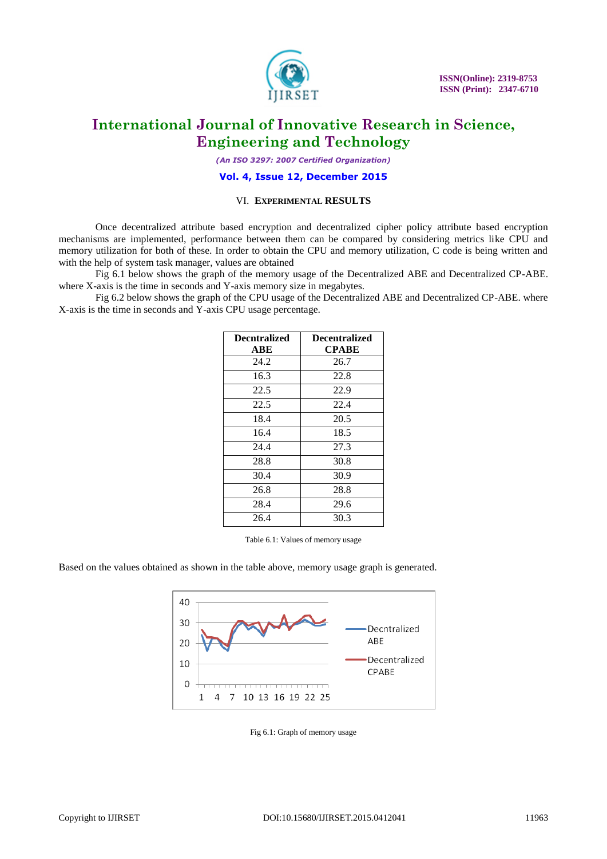

*(An ISO 3297: 2007 Certified Organization)*

#### **Vol. 4, Issue 12, December 2015**

### VI. **EXPERIMENTAL RESULTS**

Once decentralized attribute based encryption and decentralized cipher policy attribute based encryption mechanisms are implemented, performance between them can be compared by considering metrics like CPU and memory utilization for both of these. In order to obtain the CPU and memory utilization, C code is being written and with the help of system task manager, values are obtained

Fig 6.1 below shows the graph of the memory usage of the Decentralized ABE and Decentralized CP-ABE. where X-axis is the time in seconds and Y-axis memory size in megabytes.

Fig 6.2 below shows the graph of the CPU usage of the Decentralized ABE and Decentralized CP-ABE. where X-axis is the time in seconds and Y-axis CPU usage percentage.

| <b>Decntralized</b> | <b>Decentralized</b> |
|---------------------|----------------------|
| ABE                 | <b>CPABE</b>         |
| 24.2                | 26.7                 |
| 16.3                | 22.8                 |
| 22.5                | 22.9                 |
| 22.5                | 22.4                 |
| 18.4                | 20.5                 |
| 16.4                | 18.5                 |
| 24.4                | 27.3                 |
| 28.8                | 30.8                 |
| 30.4                | 30.9                 |
| 26.8                | 28.8                 |
| 28.4                | 29.6                 |
| 26.4                | 30.3                 |

Table 6.1: Values of memory usage

Based on the values obtained as shown in the table above, memory usage graph is generated.



Fig 6.1: Graph of memory usage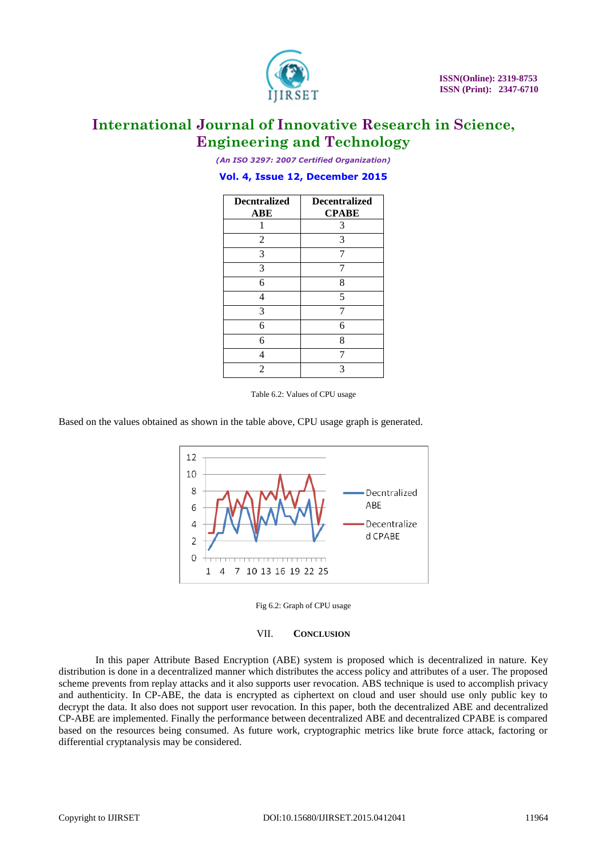

*(An ISO 3297: 2007 Certified Organization)*

### **Vol. 4, Issue 12, December 2015**

| <b>Decntralized</b><br><b>ABE</b> | <b>Decentralized</b><br><b>CPABE</b> |
|-----------------------------------|--------------------------------------|
|                                   | 3                                    |
| 2                                 | 3                                    |
| 3                                 |                                      |
| 3                                 |                                      |
| 6                                 | 8                                    |
| 4                                 | 5                                    |
| 3                                 |                                      |
| 6                                 | 6                                    |
| 6                                 | 8                                    |
| Λ                                 |                                      |
| $\mathfrak{D}$                    | 3                                    |

Table 6.2: Values of CPU usage

Based on the values obtained as shown in the table above, CPU usage graph is generated.





#### VII. **CONCLUSION**

In this paper Attribute Based Encryption (ABE) system is proposed which is decentralized in nature. Key distribution is done in a decentralized manner which distributes the access policy and attributes of a user. The proposed scheme prevents from replay attacks and it also supports user revocation. ABS technique is used to accomplish privacy and authenticity. In CP-ABE, the data is encrypted as ciphertext on cloud and user should use only public key to decrypt the data. It also does not support user revocation. In this paper, both the decentralized ABE and decentralized CP-ABE are implemented. Finally the performance between decentralized ABE and decentralized CPABE is compared based on the resources being consumed. As future work, cryptographic metrics like brute force attack, factoring or differential cryptanalysis may be considered.